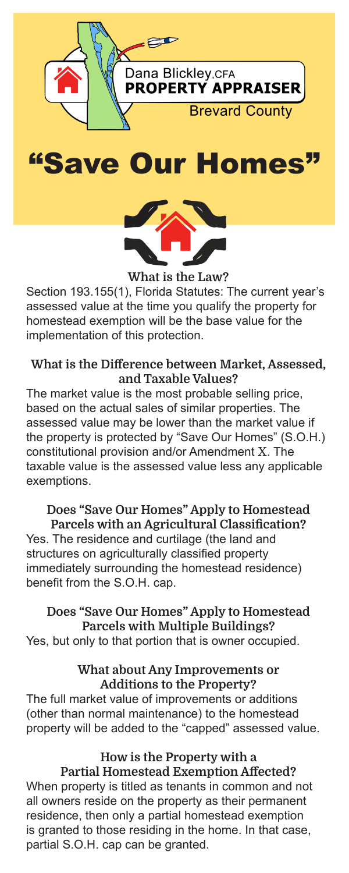





What is the Law? Section 193.155(1), Florida Statutes: The current year's assessed value at the time you qualify the property for homestead exemption will be the base value for the implementation of this protection.

### What is the Difference between Market, Assessed, and Taxable Values?

The market value is the most probable selling price, based on the actual sales of similar properties. The assessed value may be lower than the market value if the property is protected by "Save Our Homes" (S.O.H.) constitutional provision and/or Amendment X. The taxable value is the assessed value less any applicable exemptions.

# Does "Save Our Homes" Apply to Homestead

Parcels with an Agricultural Classification? Yes. The residence and curtilage (the land and structures on agriculturally classified property immediately surrounding the homestead residence) benefit from the S.O.H. cap.

Does "Save Our Homes" Apply to Homestead Parcels with Multiple Buildings? Yes, but only to that portion that is owner occupied.

### What about Any Improvements or Additions to the Property?

The full market value of improvements or additions (other than normal maintenance) to the homestead property will be added to the "capped" assessed value.

> How is the Property with a Partial Homestead Exemption Affected?

When property is titled as tenants in common and not all owners reside on the property as their permanent residence, then only a partial homestead exemption is granted to those residing in the home. In that case, partial S.O.H. cap can be granted.